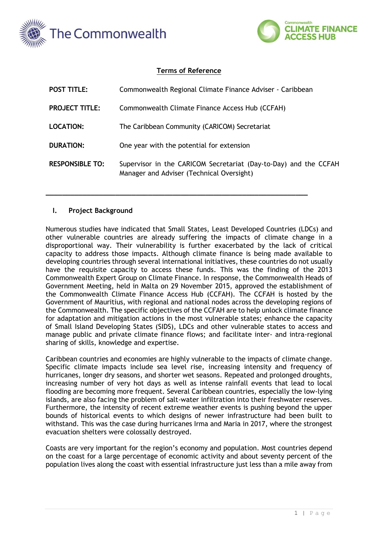



## **Terms of Reference**

| <b>POST TITLE:</b>     | Commonwealth Regional Climate Finance Adviser - Caribbean                                                     |
|------------------------|---------------------------------------------------------------------------------------------------------------|
| <b>PROJECT TITLE:</b>  | Commonwealth Climate Finance Access Hub (CCFAH)                                                               |
| <b>LOCATION:</b>       | The Caribbean Community (CARICOM) Secretariat                                                                 |
| <b>DURATION:</b>       | One year with the potential for extension                                                                     |
| <b>RESPONSIBLE TO:</b> | Supervisor in the CARICOM Secretariat (Day-to-Day) and the CCFAH<br>Manager and Adviser (Technical Oversight) |

**\_\_\_\_\_\_\_\_\_\_\_\_\_\_\_\_\_\_\_\_\_\_\_\_\_\_\_\_\_\_\_\_\_\_\_\_\_\_\_\_\_\_\_\_\_\_\_\_\_\_\_\_\_\_\_\_\_\_\_\_\_\_\_\_**

#### **I. Project Background**

Numerous studies have indicated that Small States, Least Developed Countries (LDCs) and other vulnerable countries are already suffering the impacts of climate change in a disproportional way. Their vulnerability is further exacerbated by the lack of critical capacity to address those impacts. Although climate finance is being made available to developing countries through several international initiatives, these countries do not usually have the requisite capacity to access these funds. This was the finding of the 2013 Commonwealth Expert Group on Climate Finance. In response, the Commonwealth Heads of Government Meeting, held in Malta on 29 November 2015, approved the establishment of the Commonwealth Climate Finance Access Hub (CCFAH). The CCFAH is hosted by the Government of Mauritius, with regional and national nodes across the developing regions of the Commonwealth. The specific objectives of the CCFAH are to help unlock climate finance for adaptation and mitigation actions in the most vulnerable states; enhance the capacity of Small Island Developing States (SIDS), LDCs and other vulnerable states to access and manage public and private climate finance flows; and facilitate inter- and intra-regional sharing of skills, knowledge and expertise.

Caribbean countries and economies are highly vulnerable to the impacts of climate change. Specific climate impacts include sea level rise, increasing intensity and frequency of hurricanes, longer dry seasons, and shorter wet seasons. Repeated and prolonged droughts, increasing number of very hot days as well as intense rainfall events that lead to local flooding are becoming more frequent. Several Caribbean countries, especially the low-lying islands, are also facing the problem of salt-water infiltration into their freshwater reserves. Furthermore, the intensity of recent extreme weather events is pushing beyond the upper bounds of historical events to which designs of newer infrastructure had been built to withstand. This was the case during hurricanes Irma and Maria in 2017, where the strongest evacuation shelters were colossally destroyed.

Coasts are very important for the region's economy and population. Most countries depend on the coast for a large percentage of economic activity and about seventy percent of the population lives along the coast with essential infrastructure just less than a mile away from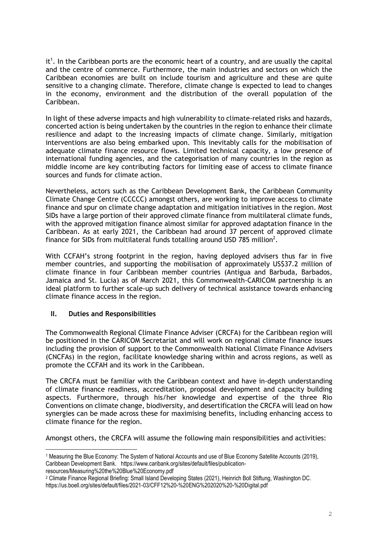$it<sup>1</sup>$ . In the Caribbean ports are the economic heart of a country, and are usually the capital and the centre of commerce. Furthermore, the main industries and sectors on which the Caribbean economies are built on include tourism and agriculture and these are quite sensitive to a changing climate. Therefore, climate change is expected to lead to changes in the economy, environment and the distribution of the overall population of the Caribbean.

In light of these adverse impacts and high vulnerability to climate-related risks and hazards, concerted action is being undertaken by the countries in the region to enhance their climate resilience and adapt to the increasing impacts of climate change. Similarly, mitigation interventions are also being embarked upon. This inevitably calls for the mobilisation of adequate climate finance resource flows. Limited technical capacity, a low presence of international funding agencies, and the categorisation of many countries in the region as middle income are key contributing factors for limiting ease of access to climate finance sources and funds for climate action.

Nevertheless, actors such as the Caribbean Development Bank, the Caribbean Community Climate Change Centre (CCCCC) amongst others, are working to improve access to climate finance and spur on climate change adaptation and mitigation initiatives in the region. Most SIDs have a large portion of their approved climate finance from multilateral climate funds, with the approved mitigation finance almost similar for approved adaptation finance in the Caribbean. As at early 2021, the Caribbean had around 37 percent of approved climate finance for SIDs from multilateral funds totalling around USD 785 million<sup>2</sup>.

With CCFAH's strong footprint in the region, having deployed advisers thus far in five member countries, and supporting the mobilisation of approximately US\$37.2 million of climate finance in four Caribbean member countries (Antigua and Barbuda, Barbados, Jamaica and St. Lucia) as of March 2021, this Commonwealth-CARICOM partnership is an ideal platform to further scale-up such delivery of technical assistance towards enhancing climate finance access in the region.

# **II. Duties and Responsibilities**

The Commonwealth Regional Climate Finance Adviser (CRCFA) for the Caribbean region will be positioned in the CARICOM Secretariat and will work on regional climate finance issues including the provision of support to the Commonwealth National Climate Finance Advisers (CNCFAs) in the region, facilitate knowledge sharing within and across regions, as well as promote the CCFAH and its work in the Caribbean.

The CRCFA must be familiar with the Caribbean context and have in-depth understanding of climate finance readiness, accreditation, proposal development and capacity building aspects. Furthermore, through his/her knowledge and expertise of the three Rio Conventions on climate change, biodiversity, and desertification the CRCFA will lead on how synergies can be made across these for maximising benefits, including enhancing access to climate finance for the region.

Amongst others, the CRCFA will assume the following main responsibilities and activities:

resources/Measuring%20the%20Blue%20Economy.pdf

<sup>1</sup> Measuring the Blue Economy: The System of National Accounts and use of Blue Economy Satellite Accounts (2019), Caribbean Development Bank. https://www.caribank.org/sites/default/files/publication-

<sup>2</sup> Climate Finance Regional Briefing: Small Island Developing States (2021), Heinrich Boll Stiftung, Washington DC. https://us.boell.org/sites/default/files/2021-03/CFF12%20-%20ENG%202020%20-%20Digital.pdf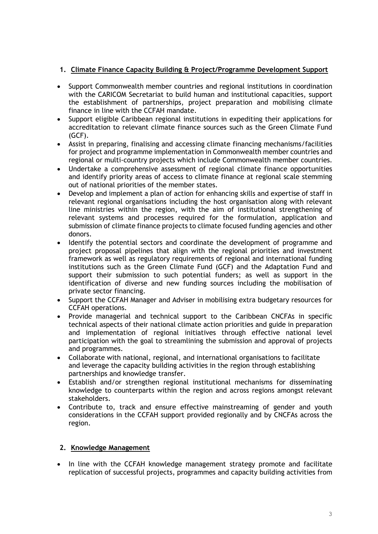# **1. Climate Finance Capacity Building & Project/Programme Development Support**

- Support Commonwealth member countries and regional institutions in coordination with the CARICOM Secretariat to build human and institutional capacities, support the establishment of partnerships, project preparation and mobilising climate finance in line with the CCFAH mandate.
- Support eligible Caribbean regional institutions in expediting their applications for accreditation to relevant climate finance sources such as the Green Climate Fund (GCF).
- Assist in preparing, finalising and accessing climate financing mechanisms/facilities for project and programme implementation in Commonwealth member countries and regional or multi-country projects which include Commonwealth member countries.
- Undertake a comprehensive assessment of regional climate finance opportunities and identify priority areas of access to climate finance at regional scale stemming out of national priorities of the member states.
- Develop and implement a plan of action for enhancing skills and expertise of staff in relevant regional organisations including the host organisation along with relevant line ministries within the region, with the aim of institutional strengthening of relevant systems and processes required for the formulation, application and submission of climate finance projects to climate focused funding agencies and other donors.
- Identify the potential sectors and coordinate the development of programme and project proposal pipelines that align with the regional priorities and investment framework as well as regulatory requirements of regional and international funding institutions such as the Green Climate Fund (GCF) and the Adaptation Fund and support their submission to such potential funders; as well as support in the identification of diverse and new funding sources including the mobilisation of private sector financing.
- Support the CCFAH Manager and Adviser in mobilising extra budgetary resources for CCFAH operations.
- Provide managerial and technical support to the Caribbean CNCFAs in specific technical aspects of their national climate action priorities and guide in preparation and implementation of regional initiatives through effective national level participation with the goal to streamlining the submission and approval of projects and programmes.
- Collaborate with national, regional, and international organisations to facilitate and leverage the capacity building activities in the region through establishing partnerships and knowledge transfer.
- Establish and/or strengthen regional institutional mechanisms for disseminating knowledge to counterparts within the region and across regions amongst relevant stakeholders.
- Contribute to, track and ensure effective mainstreaming of gender and youth considerations in the CCFAH support provided regionally and by CNCFAs across the region.

# **2. Knowledge Management**

• In line with the CCFAH knowledge management strategy promote and facilitate replication of successful projects, programmes and capacity building activities from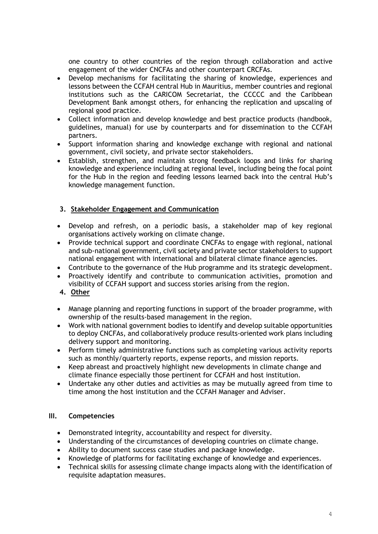one country to other countries of the region through collaboration and active engagement of the wider CNCFAs and other counterpart CRCFAs.

- Develop mechanisms for facilitating the sharing of knowledge, experiences and lessons between the CCFAH central Hub in Mauritius, member countries and regional institutions such as the CARICOM Secretariat, the CCCCC and the Caribbean Development Bank amongst others, for enhancing the replication and upscaling of regional good practice.
- Collect information and develop knowledge and best practice products (handbook, guidelines, manual) for use by counterparts and for dissemination to the CCFAH partners.
- Support information sharing and knowledge exchange with regional and national government, civil society, and private sector stakeholders.
- Establish, strengthen, and maintain strong feedback loops and links for sharing knowledge and experience including at regional level, including being the focal point for the Hub in the region and feeding lessons learned back into the central Hub's knowledge management function.

# **3. Stakeholder Engagement and Communication**

- Develop and refresh, on a periodic basis, a stakeholder map of key regional organisations actively working on climate change.
- Provide technical support and coordinate CNCFAs to engage with regional, national and sub-national government, civil society and private sector stakeholders to support national engagement with international and bilateral climate finance agencies.
- Contribute to the governance of the Hub programme and its strategic development.
- Proactively identify and contribute to communication activities, promotion and visibility of CCFAH support and success stories arising from the region.
- **4. Other**
- Manage planning and reporting functions in support of the broader programme, with ownership of the results-based management in the region.
- Work with national government bodies to identify and develop suitable opportunities to deploy CNCFAs, and collaboratively produce results-oriented work plans including delivery support and monitoring.
- Perform timely administrative functions such as completing various activity reports such as monthly/quarterly reports, expense reports, and mission reports.
- Keep abreast and proactively highlight new developments in climate change and climate finance especially those pertinent for CCFAH and host institution.
- Undertake any other duties and activities as may be mutually agreed from time to time among the host institution and the CCFAH Manager and Adviser.

### **III. Competencies**

- Demonstrated integrity, accountability and respect for diversity.
- Understanding of the circumstances of developing countries on climate change.
- Ability to document success case studies and package knowledge.
- Knowledge of platforms for facilitating exchange of knowledge and experiences.
- Technical skills for assessing climate change impacts along with the identification of requisite adaptation measures.